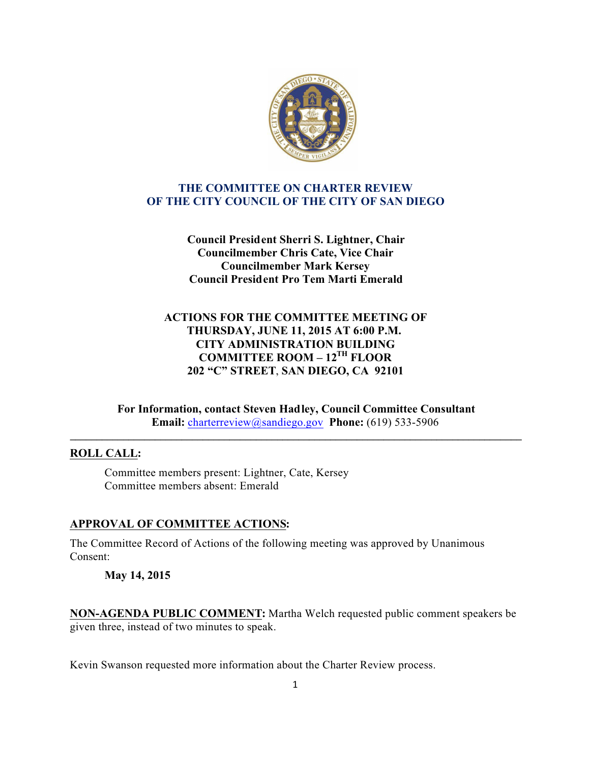

## **THE COMMITTEE ON CHARTER REVIEW OF THE CITY COUNCIL OF THE CITY OF SAN DIEGO**

**Council President Sherri S. Lightner, Chair Councilmember Chris Cate, Vice Chair Councilmember Mark Kersey Council President Pro Tem Marti Emerald**

# **ACTIONS FOR THE COMMITTEE MEETING OF THURSDAY, JUNE 11, 2015 AT 6:00 P.M. CITY ADMINISTRATION BUILDING COMMITTEE ROOM – 12TH FLOOR 202 "C" STREET**, **SAN DIEGO, CA 92101**

**For Information, contact Steven Hadley, Council Committee Consultant Email:** charterreview@sandiego.gov **Phone:** (619) 533-5906

**\_\_\_\_\_\_\_\_\_\_\_\_\_\_\_\_\_\_\_\_\_\_\_\_\_\_\_\_\_\_\_\_\_\_\_\_\_\_\_\_\_\_\_\_\_\_\_\_\_\_\_\_\_\_\_\_\_\_\_\_\_\_\_\_\_\_\_\_\_\_\_\_\_\_\_\_\_\_\_\_\_\_\_\_\_**

### **ROLL CALL:**

Committee members present: Lightner, Cate, Kersey Committee members absent: Emerald

# **APPROVAL OF COMMITTEE ACTIONS:**

The Committee Record of Actions of the following meeting was approved by Unanimous Consent:

### **May 14, 2015**

**NON-AGENDA PUBLIC COMMENT:** Martha Welch requested public comment speakers be given three, instead of two minutes to speak.

Kevin Swanson requested more information about the Charter Review process.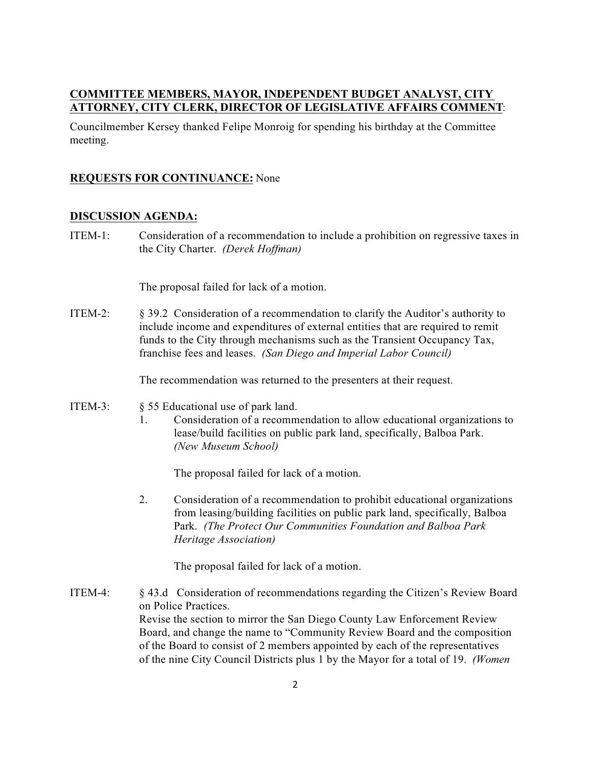#### **COMMITTEE MEMBERS, MAYOR, INDEPENDENT BUDGET ANALYST, CITY ATTORNEY, CITY CLERK, DIRECTOR OF LEGISLATIVE AFFAIRS COMMENT**:

Councilmember Kersey thanked Felipe Monroig for spending his birthday at the Committee meeting.

### **REQUESTS FOR CONTINUANCE:** None

#### **DISCUSSION AGENDA:**

ITEM-1: Consideration of a recommendation to include a prohibition on regressive taxes in the City Charter. *(Derek Hoffman)*

The proposal failed for lack of a motion.

ITEM-2: § 39.2 Consideration of a recommendation to clarify the Auditor's authority to include income and expenditures of external entities that are required to remit funds to the City through mechanisms such as the Transient Occupancy Tax, franchise fees and leases. *(San Diego and Imperial Labor Council)*

The recommendation was returned to the presenters at their request.

- ITEM-3: § 55 Educational use of park land.
	- 1. Consideration of a recommendation to allow educational organizations to lease/build facilities on public park land, specifically, Balboa Park. *(New Museum School)*

The proposal failed for lack of a motion.

2. Consideration of a recommendation to prohibit educational organizations from leasing/building facilities on public park land, specifically, Balboa Park. *(The Protect Our Communities Foundation and Balboa Park Heritage Association)*

The proposal failed for lack of a motion.

ITEM-4: § 43.d Consideration of recommendations regarding the Citizen's Review Board on Police Practices. Revise the section to mirror the San Diego County Law Enforcement Review Board, and change the name to "Community Review Board and the composition of the Board to consist of 2 members appointed by each of the representatives of the nine City Council Districts plus 1 by the Mayor for a total of 19. *(Women*